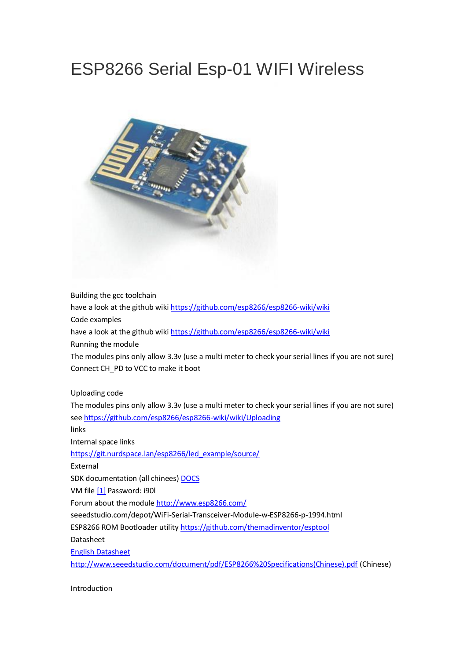# ESP8266 Serial Esp-01 WIFI Wireless



Building the gcc toolchain have a look at the github wiki <https://github.com/esp8266/esp8266-wiki/wiki> Code examples have a look at the github wiki <https://github.com/esp8266/esp8266-wiki/wiki> Running the module The modules pins only allow 3.3v (use a multi meter to check your serial lines if you are not sure) Connect CH\_PD to VCC to make it boot Uploading code The modules pins only allow 3.3v (use a multi meter to check your serial lines if you are not sure) see <https://github.com/esp8266/esp8266-wiki/wiki/Uploading> links Internal space links [https://git.nurdspace.lan/esp8266/led\\_example/source/](https://git.nurdspace.lan/esp8266/led_example/source/) External SDK documentation (all chinees) [DOCS](http://rghost.net/57965174%7C) VM file [\[1\]](http://pan.baidu.com/s/1dDf8Iy9) Password: i90l Forum about the module <http://www.esp8266.com/> seeedstudio.com/depot/WiFi-Serial-Transceiver-Module-w-ESP8266-p-1994.html ESP8266 ROM Bootloader utility <https://github.com/themadinventor/esptool>

Datasheet

[English Datasheet](https://nurdspace.nl/File:ESP8266_Specifications_English.pdf)

[http://www.seeedstudio.com/document/pdf/ESP8266%20Specifications\(Chinese\).pdf](http://www.seeedstudio.com/document/pdf/ESP8266%20Specifications(Chinese).pdf) (Chinese)

Introduction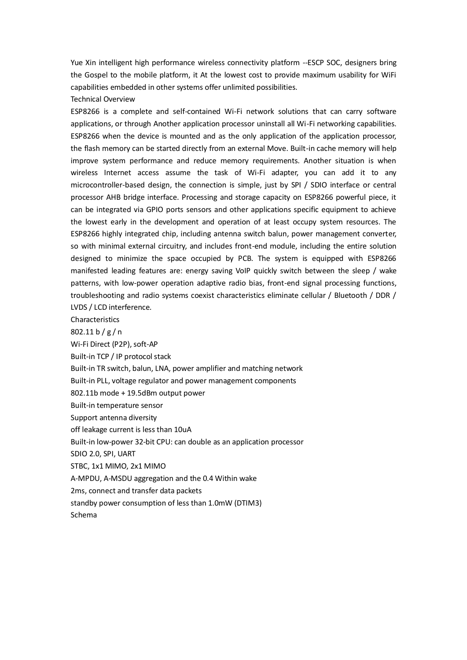Yue Xin intelligent high performance wireless connectivity platform --ESCP SOC, designers bring the Gospel to the mobile platform, it At the lowest cost to provide maximum usability for WiFi capabilities embedded in other systems offer unlimited possibilities.

Technical Overview

ESP8266 is a complete and self-contained Wi-Fi network solutions that can carry software applications, or through Another application processor uninstall all Wi-Fi networking capabilities. ESP8266 when the device is mounted and as the only application of the application processor, the flash memory can be started directly from an external Move. Built-in cache memory will help improve system performance and reduce memory requirements. Another situation is when wireless Internet access assume the task of Wi-Fi adapter, you can add it to any microcontroller-based design, the connection is simple, just by SPI / SDIO interface or central processor AHB bridge interface. Processing and storage capacity on ESP8266 powerful piece, it can be integrated via GPIO ports sensors and other applications specific equipment to achieve the lowest early in the development and operation of at least occupy system resources. The ESP8266 highly integrated chip, including antenna switch balun, power management converter, so with minimal external circuitry, and includes front-end module, including the entire solution designed to minimize the space occupied by PCB. The system is equipped with ESP8266 manifested leading features are: energy saving VoIP quickly switch between the sleep / wake patterns, with low-power operation adaptive radio bias, front-end signal processing functions, troubleshooting and radio systems coexist characteristics eliminate cellular / Bluetooth / DDR / LVDS / LCD interference.

**Characteristics** 

802.11 b / g / n

Wi-Fi Direct (P2P), soft-AP

Built-in TCP / IP protocol stack

Built-in TR switch, balun, LNA, power amplifier and matching network

Built-in PLL, voltage regulator and power management components

802.11b mode + 19.5dBm output power

Built-in temperature sensor

Support antenna diversity

off leakage current is less than 10uA

Built-in low-power 32-bit CPU: can double as an application processor

SDIO 2.0, SPI, UART

STBC, 1x1 MIMO, 2x1 MIMO

A-MPDU, A-MSDU aggregation and the 0.4 Within wake

2ms, connect and transfer data packets

standby power consumption of less than 1.0mW (DTIM3)

Schema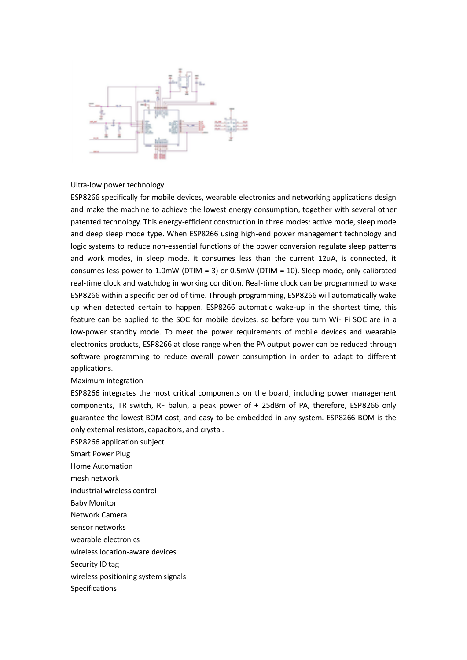

#### Ultra-low power technology

ESP8266 specifically for mobile devices, wearable electronics and networking applications design and make the machine to achieve the lowest energy consumption, together with several other patented technology. This energy-efficient construction in three modes: active mode, sleep mode and deep sleep mode type. When ESP8266 using high-end power management technology and logic systems to reduce non-essential functions of the power conversion regulate sleep patterns and work modes, in sleep mode, it consumes less than the current 12uA, is connected, it consumes less power to 1.0mW (DTIM = 3) or 0.5mW (DTIM = 10). Sleep mode, only calibrated real-time clock and watchdog in working condition. Real-time clock can be programmed to wake ESP8266 within a specific period of time. Through programming, ESP8266 will automatically wake up when detected certain to happen. ESP8266 automatic wake-up in the shortest time, this feature can be applied to the SOC for mobile devices, so before you turn Wi- Fi SOC are in a low-power standby mode. To meet the power requirements of mobile devices and wearable electronics products, ESP8266 at close range when the PA output power can be reduced through software programming to reduce overall power consumption in order to adapt to different applications.

#### Maximum integration

ESP8266 integrates the most critical components on the board, including power management components, TR switch, RF balun, a peak power of + 25dBm of PA, therefore, ESP8266 only guarantee the lowest BOM cost, and easy to be embedded in any system. ESP8266 BOM is the only external resistors, capacitors, and crystal.

ESP8266 application subject Smart Power Plug Home Automation mesh network industrial wireless control Baby Monitor

- Network Camera
- sensor networks
- wearable electronics
- wireless location-aware devices
- Security ID tag
- wireless positioning system signals
- Specifications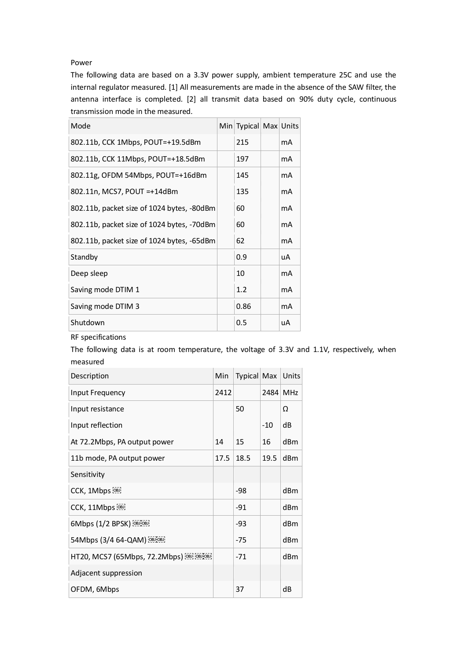### Power

The following data are based on a 3.3V power supply, ambient temperature 25C and use the internal regulator measured. [1] All measurements are made in the absence of the SAW filter, the antenna interface is completed. [2] all transmit data based on 90% duty cycle, continuous transmission mode in the measured.

| Mode                                       | Min Typical Max Units |                |
|--------------------------------------------|-----------------------|----------------|
| 802.11b, CCK 1Mbps, POUT=+19.5dBm          | 215                   | mA             |
| 802.11b, CCK 11Mbps, POUT=+18.5dBm         | 197                   | mA             |
| 802.11g, OFDM 54Mbps, POUT=+16dBm          | 145                   | mA             |
| 802.11n, MCS7, POUT =+14dBm                | 135                   | mA             |
| 802.11b, packet size of 1024 bytes, -80dBm | 60                    | mA             |
| 802.11b, packet size of 1024 bytes, -70dBm | 60                    | mA             |
| 802.11b, packet size of 1024 bytes, -65dBm | 62                    | mA             |
| Standby                                    | 0.9                   | uA             |
| Deep sleep                                 | 10                    | mA             |
| Saving mode DTIM 1                         | 1.2                   | mA             |
| Saving mode DTIM 3                         | 0.86                  | m <sub>A</sub> |
| Shutdown                                   | 0.5                   | uA             |

RF specifications

The following data is at room temperature, the voltage of 3.3V and 1.1V, respectively, when measured

| Description                               | Min  | Typical Max |          | Units |
|-------------------------------------------|------|-------------|----------|-------|
| Input Frequency                           | 2412 |             | 2484 MHz |       |
| Input resistance                          |      | 50          |          | Ω     |
| Input reflection                          |      |             | $-10$    | dB    |
| At 72.2Mbps, PA output power              | 14   | 15          | 16       | dBm   |
| 11b mode, PA output power                 | 17.5 | 18.5        | 19.5     | dBm   |
| Sensitivity                               |      |             |          |       |
| CCK, 1Mbps [OBJ]                          |      | -98         |          | dBm   |
| CCK, 11Mbps                               |      | $-91$       |          | dBm   |
| 6Mbps (1/2 BPSK) [08][08]                 |      | -93         |          | dBm   |
| 54Mbps (3/4 64-QAM) [OBJOBJ]              |      | $-75$       |          | dBm   |
| HT20, MCS7 (65Mbps, 72.2Mbps) [OBJ] [OBJ] |      | $-71$       |          | dBm   |
| Adjacent suppression                      |      |             |          |       |
| OFDM, 6Mbps                               |      | 37          |          | dB    |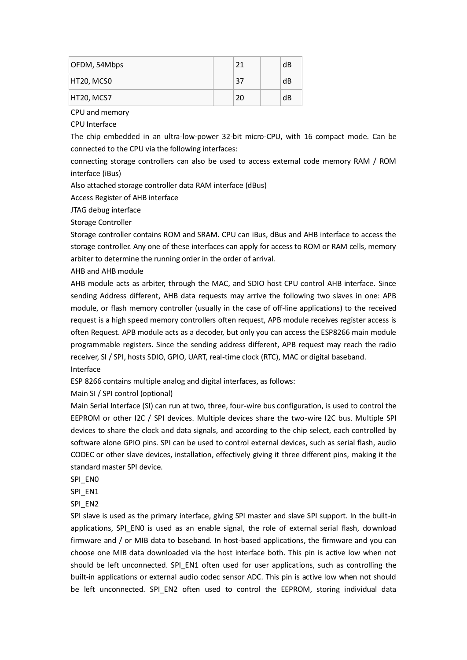| OFDM, 54Mbps | 21 | dB |
|--------------|----|----|
| HT20, MCS0   | 37 | dB |
| HT20, MCS7   | 20 | dB |

CPU and memory

CPU Interface

The chip embedded in an ultra-low-power 32-bit micro-CPU, with 16 compact mode. Can be connected to the CPU via the following interfaces:

connecting storage controllers can also be used to access external code memory RAM / ROM interface (iBus)

Also attached storage controller data RAM interface (dBus)

Access Register of AHB interface

JTAG debug interface

Storage Controller

Storage controller contains ROM and SRAM. CPU can iBus, dBus and AHB interface to access the storage controller. Any one of these interfaces can apply for access to ROM or RAM cells, memory arbiter to determine the running order in the order of arrival.

AHB and AHB module

AHB module acts as arbiter, through the MAC, and SDIO host CPU control AHB interface. Since sending Address different, AHB data requests may arrive the following two slaves in one: APB module, or flash memory controller (usually in the case of off-line applications) to the received request is a high speed memory controllers often request, APB module receives register access is often Request. APB module acts as a decoder, but only you can access the ESP8266 main module programmable registers. Since the sending address different, APB request may reach the radio receiver, SI / SPI, hosts SDIO, GPIO, UART, real-time clock (RTC), MAC or digital baseband. Interface

ESP 8266 contains multiple analog and digital interfaces, as follows:

Main SI / SPI control (optional)

Main Serial Interface (SI) can run at two, three, four-wire bus configuration, is used to control the EEPROM or other I2C / SPI devices. Multiple devices share the two-wire I2C bus. Multiple SPI devices to share the clock and data signals, and according to the chip select, each controlled by software alone GPIO pins. SPI can be used to control external devices, such as serial flash, audio CODEC or other slave devices, installation, effectively giving it three different pins, making it the standard master SPI device.

SPI\_EN0

SPI\_EN1

SPI\_EN2

SPI slave is used as the primary interface, giving SPI master and slave SPI support. In the built-in applications, SPI\_EN0 is used as an enable signal, the role of external serial flash, download firmware and / or MIB data to baseband. In host-based applications, the firmware and you can choose one MIB data downloaded via the host interface both. This pin is active low when not should be left unconnected. SPI\_EN1 often used for user applications, such as controlling the built-in applications or external audio codec sensor ADC. This pin is active low when not should be left unconnected. SPI\_EN2 often used to control the EEPROM, storing individual data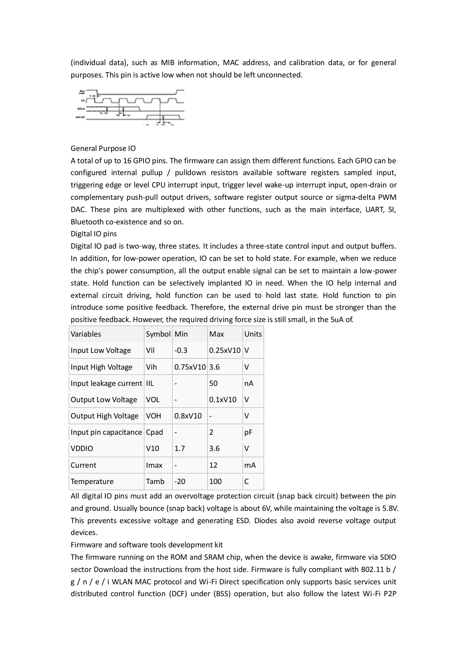(individual data), such as MIB information, MAC address, and calibration data, or for general purposes. This pin is active low when not should be left unconnected.



#### General Purpose IO

A total of up to 16 GPIO pins. The firmware can assign them different functions. Each GPIO can be configured internal pullup / pulldown resistors available software registers sampled input, triggering edge or level CPU interrupt input, trigger level wake-up interrupt input, open-drain or complementary push-pull output drivers, software register output source or sigma-delta PWM DAC. These pins are multiplexed with other functions, such as the main interface, UART, SI, Bluetooth co-existence and so on.

Digital IO pins

Digital IO pad is two-way, three states. It includes a three-state control input and output buffers. In addition, for low-power operation, IO can be set to hold state. For example, when we reduce the chip's power consumption, all the output enable signal can be set to maintain a low-power state. Hold function can be selectively implanted IO in need. When the IO help internal and external circuit driving, hold function can be used to hold last state. Hold function to pin introduce some positive feedback. Therefore, the external drive pin must be stronger than the positive feedback. However, the required driving force size is still small, in the 5uA of.

| Variables                  | Symbol Min |                | Max              | Units |
|----------------------------|------------|----------------|------------------|-------|
| Input Low Voltage          | Vil        | $-0.3$         | $0.25$ xV10 $ V$ |       |
| Input High Voltage         | Vih        | $0.75xV10$ 3.6 |                  | ٧     |
| Input leakage current IIL  |            |                | 50               | nA    |
| <b>Output Low Voltage</b>  | VOL        |                | 0.1xV10          | V     |
| Output High Voltage        | <b>VOH</b> | 0.8xV10        |                  | v     |
| Input pin capacitance Cpad |            |                | 2                | рF    |
| <b>VDDIO</b>               | V10        | 1.7            | 3.6              | v     |
| Current                    | Imax       | ۰              | 12               | mA    |
| Temperature                | Tamb       | $-20$          | 100              | C     |

All digital IO pins must add an overvoltage protection circuit (snap back circuit) between the pin and ground. Usually bounce (snap back) voltage is about 6V, while maintaining the voltage is 5.8V. This prevents excessive voltage and generating ESD. Diodes also avoid reverse voltage output devices.

#### Firmware and software tools development kit

The firmware running on the ROM and SRAM chip, when the device is awake, firmware via SDIO sector Download the instructions from the host side. Firmware is fully compliant with 802.11 b / g / n / e / i WLAN MAC protocol and Wi-Fi Direct specification only supports basic services unit distributed control function (DCF) under (BSS) operation, but also follow the latest Wi-Fi P2P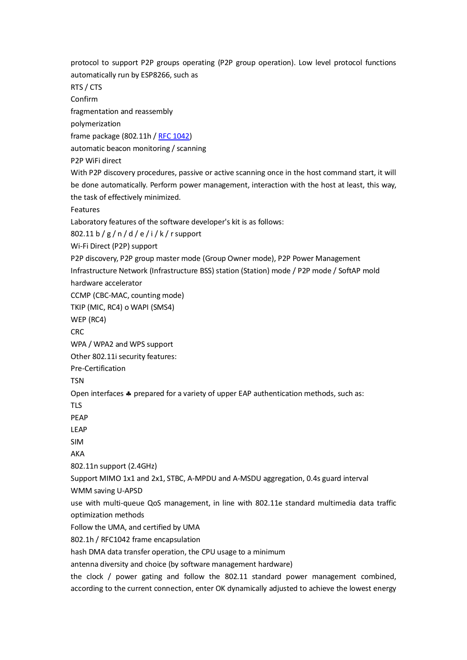protocol to support P2P groups operating (P2P group operation). Low level protocol functions automatically run by ESP8266, such as RTS / CTS Confirm fragmentation and reassembly polymerization frame package (802.11h / [RFC 1042\)](https://tools.ietf.org/html/rfc1042) automatic beacon monitoring / scanning P2P WiFi direct With P2P discovery procedures, passive or active scanning once in the host command start, it will be done automatically. Perform power management, interaction with the host at least, this way, the task of effectively minimized. Features Laboratory features of the software developer's kit is as follows: 802.11 b / g / n / d / e / i / k / r support Wi-Fi Direct (P2P) support P2P discovery, P2P group master mode (Group Owner mode), P2P Power Management Infrastructure Network (Infrastructure BSS) station (Station) mode / P2P mode / SoftAP mold hardware accelerator CCMP (CBC-MAC, counting mode) TKIP (MIC, RC4) o WAPI (SMS4) WEP (RC4) CRC WPA / WPA2 and WPS support Other 802.11i security features: Pre-Certification TSN Open interfaces  $\clubsuit$  prepared for a variety of upper EAP authentication methods, such as: TLS PEAP LEAP SIM AKA 802.11n support (2.4GHz) Support MIMO 1x1 and 2x1, STBC, A-MPDU and A-MSDU aggregation, 0.4s guard interval WMM saving U-APSD use with multi-queue QoS management, in line with 802.11e standard multimedia data traffic optimization methods Follow the UMA, and certified by UMA 802.1h / RFC1042 frame encapsulation hash DMA data transfer operation, the CPU usage to a minimum antenna diversity and choice (by software management hardware) the clock / power gating and follow the 802.11 standard power management combined,

according to the current connection, enter OK dynamically adjusted to achieve the lowest energy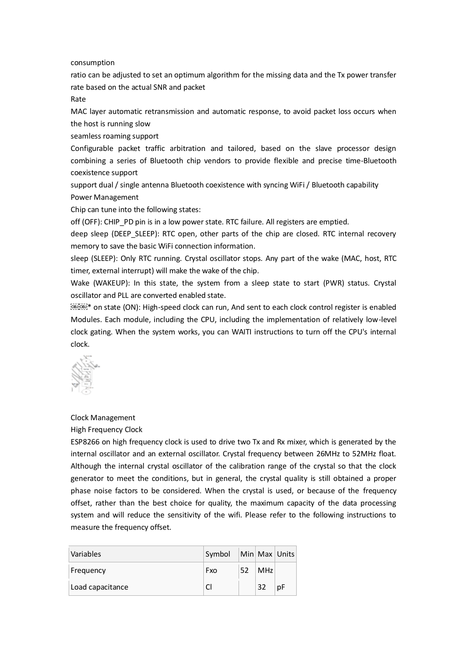consumption

ratio can be adjusted to set an optimum algorithm for the missing data and the Tx power transfer rate based on the actual SNR and packet

Rate

MAC layer automatic retransmission and automatic response, to avoid packet loss occurs when the host is running slow

seamless roaming support

Configurable packet traffic arbitration and tailored, based on the slave processor design combining a series of Bluetooth chip vendors to provide flexible and precise time-Bluetooth coexistence support

support dual / single antenna Bluetooth coexistence with syncing WiFi / Bluetooth capability Power Management

Chip can tune into the following states:

off (OFF): CHIP\_PD pin is in a low power state. RTC failure. All registers are emptied.

deep sleep (DEEP\_SLEEP): RTC open, other parts of the chip are closed. RTC internal recovery memory to save the basic WiFi connection information.

sleep (SLEEP): Only RTC running. Crystal oscillator stops. Any part of the wake (MAC, host, RTC timer, external interrupt) will make the wake of the chip.

Wake (WAKEUP): In this state, the system from a sleep state to start (PWR) status. Crystal oscillator and PLL are converted enabled state.

\* on state (ON): High-speed clock can run, And sent to each clock control register is enabled Modules. Each module, including the CPU, including the implementation of relatively low-level clock gating. When the system works, you can WAITI instructions to turn off the CPU's internal clock.



#### Clock Management

High Frequency Clock

ESP8266 on high frequency clock is used to drive two Tx and Rx mixer, which is generated by the internal oscillator and an external oscillator. Crystal frequency between 26MHz to 52MHz float. Although the internal crystal oscillator of the calibration range of the crystal so that the clock generator to meet the conditions, but in general, the crystal quality is still obtained a proper phase noise factors to be considered. When the crystal is used, or because of the frequency offset, rather than the best choice for quality, the maximum capacity of the data processing system and will reduce the sensitivity of the wifi. Please refer to the following instructions to measure the frequency offset.

| Variables        | Symbol |    |            | Min Max Units |
|------------------|--------|----|------------|---------------|
| Frequency        | Fxo    | 52 | <b>MHz</b> |               |
| Load capacitance |        |    | 32         | рF            |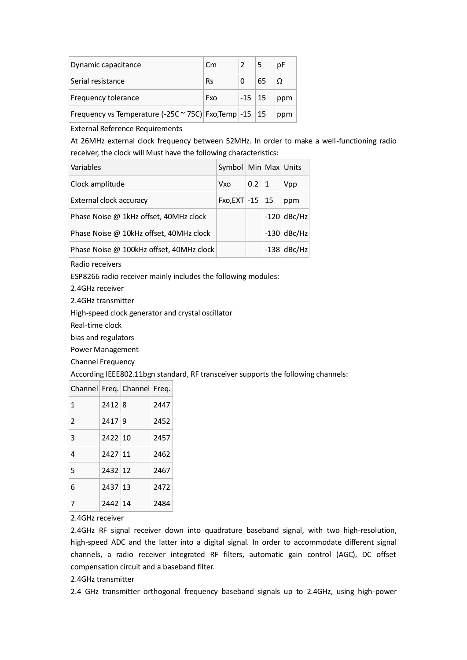| Dynamic capacitance                                      | $\mathsf{C}$ m |          |    | рF  |
|----------------------------------------------------------|----------------|----------|----|-----|
| Serial resistance                                        | <b>Rs</b>      |          | 65 | Ω   |
| <b>Frequency tolerance</b>                               | Fxo            | $-15$ 15 |    | ppm |
| Frequency vs Temperature (-25C ~ 75C) Fxo, Temp -15   15 |                |          |    | ppm |

External Reference Requirements

At 26MHz external clock frequency between 52MHz. In order to make a well-functioning radio receiver, the clock will Must have the following characteristics:

| Variables                                | Symbol   Min   Max   Units |              |               |
|------------------------------------------|----------------------------|--------------|---------------|
| Clock amplitude                          | <b>Vxo</b>                 | $0.2 \mid 1$ | Vpp           |
| External clock accuracy                  | Fxo, EXT $-15$   15        |              | ppm           |
| Phase Noise @ 1kHz offset, 40MHz clock   |                            |              | $-120$ dBc/Hz |
| Phase Noise @ 10kHz offset, 40MHz clock  |                            |              | $-130$ dBc/Hz |
| Phase Noise @ 100kHz offset, 40MHz clock |                            |              | $-138$ dBc/Hz |

Radio receivers

ESP8266 radio receiver mainly includes the following modules:

2.4GHz receiver

2.4GHz transmitter

High-speed clock generator and crystal oscillator

Real-time clock

bias and regulators

Power Management

Channel Frequency

According IEEE802.11bgn standard, RF transceiver supports the following channels:

|                |         | Channel Freq. Channel Freq. |      |
|----------------|---------|-----------------------------|------|
| $\mathbf{1}$   | 2412 8  |                             | 2447 |
| $\overline{2}$ | 2417 9  |                             | 2452 |
| 3              | 2422 10 |                             | 2457 |
| 4              | 2427 11 |                             | 2462 |
| 5              | 2432 12 |                             | 2467 |
| 6              | 2437 13 |                             | 2472 |
| 7              | 2442 14 |                             | 2484 |

#### 2.4GHz receiver

2.4GHz RF signal receiver down into quadrature baseband signal, with two high-resolution, high-speed ADC and the latter into a digital signal. In order to accommodate different signal channels, a radio receiver integrated RF filters, automatic gain control (AGC), DC offset compensation circuit and a baseband filter.

#### 2.4GHz transmitter

2.4 GHz transmitter orthogonal frequency baseband signals up to 2.4GHz, using high-power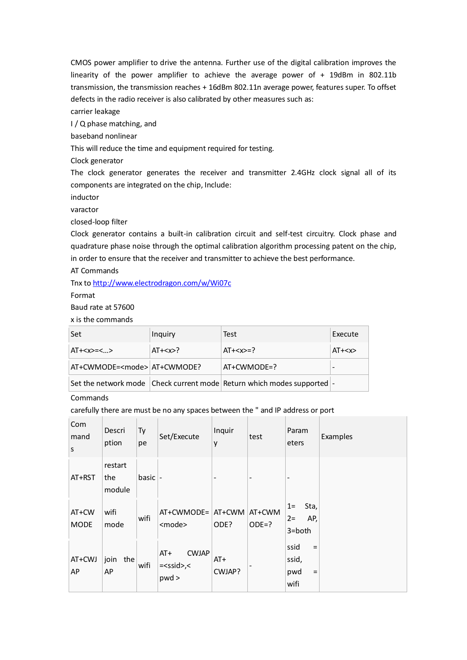CMOS power amplifier to drive the antenna. Further use of the digital calibration improves the linearity of the power amplifier to achieve the average power of + 19dBm in 802.11b transmission, the transmission reaches + 16dBm 802.11n average power, features super. To offset defects in the radio receiver is also calibrated by other measures such as:

carrier leakage

I / Q phase matching, and

baseband nonlinear

This will reduce the time and equipment required for testing.

Clock generator

The clock generator generates the receiver and transmitter 2.4GHz clock signal all of its components are integrated on the chip, Include:

inductor

varactor

closed-loop filter

Clock generator contains a built-in calibration circuit and self-test circuitry. Clock phase and quadrature phase noise through the optimal calibration algorithm processing patent on the chip, in order to ensure that the receiver and transmitter to achieve the best performance.

AT Commands

Tnx to <http://www.electrodragon.com/w/Wi07c>

Format

Baud rate at 57600

x is the commands

| Set                                 | Inquiry | Test                                                                   | Execute |
|-------------------------------------|---------|------------------------------------------------------------------------|---------|
| $AT+=<>$                            | $AT+$ ? | $AT+=?$                                                                | $AT+$   |
| AT+CWMODE= <mode> AT+CWMODE?</mode> |         | $AT+CWMODE=?$                                                          |         |
|                                     |         | Set the network mode Check current mode Return which modes supported - |         |

## Commands

carefully there are must be no any spaces between the " and IP address or port

| Com<br>mand<br>S     | Descri<br>ption          | Ty<br>pe        | Set/Execute                                         | Inquir<br>y     | test              | Param<br>eters                                                | Examples |
|----------------------|--------------------------|-----------------|-----------------------------------------------------|-----------------|-------------------|---------------------------------------------------------------|----------|
| AT+RST               | restart<br>the<br>module | basic $\vert$ - |                                                     | -               | $\qquad \qquad$   | $\overline{\phantom{a}}$                                      |          |
| AT+CW<br><b>MODE</b> | wifi<br>mode             | wifi            | AT+CWMODE= AT+CWM<br><mode></mode>                  | ODE?            | AT+CWM<br>$ODE=?$ | Sta,<br>$1=$<br>AP,<br>$2 =$<br>3=both                        |          |
| AT+CWJ<br>AP         | join the<br>AP           | wifi            | $AT+$<br><b>CWJAP</b><br>$=<$ ssid $>$ , $<$<br>pwd | $AT+$<br>CWJAP? |                   | ssid<br>$\equiv$<br>ssid,<br>pwd<br>$\qquad \qquad =$<br>wifi |          |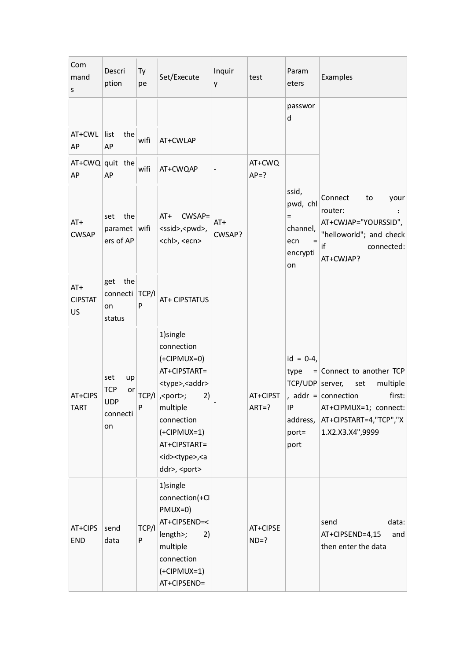| Com<br>mand<br>$\sf S$        | Descri<br>ption                                               | Ty<br>pe   | Set/Execute                                                                                                                                                                                                                                                         | Inquir<br>y     | test                  | Param<br>eters                                                    | Examples                                                                                                                                                   |
|-------------------------------|---------------------------------------------------------------|------------|---------------------------------------------------------------------------------------------------------------------------------------------------------------------------------------------------------------------------------------------------------------------|-----------------|-----------------------|-------------------------------------------------------------------|------------------------------------------------------------------------------------------------------------------------------------------------------------|
|                               |                                                               |            |                                                                                                                                                                                                                                                                     |                 |                       | passwor<br>d                                                      |                                                                                                                                                            |
| $AT+CWL$<br>AP                | list<br>the<br>AP                                             | wifi       | AT+CWLAP                                                                                                                                                                                                                                                            |                 |                       |                                                                   |                                                                                                                                                            |
| AP                            | $AT+CWQ$ quit the<br>AP                                       | wifi       | AT+CWQAP                                                                                                                                                                                                                                                            |                 | AT+CWQ<br>$AP = ?$    |                                                                   |                                                                                                                                                            |
| $AT+$<br><b>CWSAP</b>         | the<br>set<br>paramet wifi<br>ers of AP                       |            | $AT+$<br>CWSAP=<br><ssid>,<pwd>,<br/><chl>, <ecn></ecn></chl></pwd></ssid>                                                                                                                                                                                          | $AT+$<br>CWSAP? |                       | ssid,<br>pwd, chl<br>$=$<br>channel,<br>ecn<br>encrypti<br>on     | Connect<br>to<br>your<br>router:<br>AT+CWJAP="YOURSSID",<br>"helloworld"; and check<br>if<br>connected:<br>AT+CWJAP?                                       |
| $AT+$<br><b>CIPSTAT</b><br>US | get the<br>connecti TCP/I<br>on<br>status                     | P          | AT+ CIPSTATUS                                                                                                                                                                                                                                                       |                 |                       |                                                                   |                                                                                                                                                            |
| AT+CIPS<br><b>TART</b>        | set<br>up<br><b>TCP</b><br>or<br><b>UDP</b><br>connecti<br>on | P          | 1)single<br>connection<br>$(+CIPMUX=0)$<br>AT+CIPSTART=<br><type>,<addr><br/>TCP/I   , &lt; port&gt;;<br/>2)<br/>multiple<br/>connection<br/><math>(+CIPMUX=1)</math><br/>AT+CIPSTART=<br/><id><type>,<a<br>ddr&gt;, <port></port></a<br></type></id></addr></type> |                 | AT+CIPST<br>$ART = ?$ | $id = 0-4,$<br>TCP/UDP server,<br>IP<br>address,<br>port=<br>port | type $=$ Connect to another TCP<br>multiple<br>set<br>first:<br>, addr = connection<br>AT+CIPMUX=1; connect:<br>AT+CIPSTART=4,"TCP","X<br>1.X2.X3.X4",9999 |
| AT+CIPS<br><b>END</b>         | send<br>data                                                  | TCP/I<br>P | 1)single<br>connection(+Cl<br>$PMUX=0)$<br>AT+CIPSEND=<<br>length>;<br>2)<br>multiple<br>connection<br>$(+CIPMUX=1)$<br>AT+CIPSEND=                                                                                                                                 |                 | AT+CIPSE<br>$ND=?$    |                                                                   | data:<br>send<br>AT+CIPSEND=4,15<br>and<br>then enter the data                                                                                             |